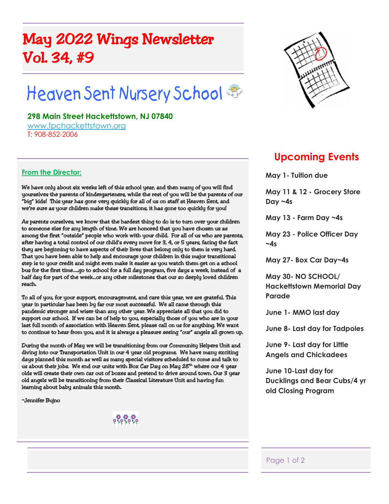## May 2022 Wings Newsletter Vol. 34, #9

# Heaven Sent Nursery School

#### **298 Main Street Hackettstown, NJ 07840**

www.fpchackettstown.org T: 908-852-2006

#### **From the Director:**

We have only about six weeks left of this school year, and then many of you will find yourselves the parents of kindergarteners, while the rest of you will be the parents of our "big" kids! This year has gone very quickly for all of us on staff at Heaven Sent, and we're sure as your children make these transitions, it has gone too quickly for you!

As parents ourselves, we know that the hardest thing to do is to turn over your children to someone else for any length of time. We are honored that you have chosen us as among the first "outside" people who work with your child. For all of us who are parents, after having a total control of our child's every move for 3, 4, or 5 years, facing the fact they are beginning to have aspects of their lives that belong only to them is very hard. That you have been able to help and encourage your children in this major transitional step is to your credit and might even make it easier as you watch them get on a school bus for the first time.....qo to school for a full day program, five days a week, instead of a half day for part of the week…or any other milestones that our so deeply loved children reach.

To all of you, for your support, encouragement, and care this year, we are grateful. This year in particular has been by far our most successful. We all came through this pandemic stronger and wiser than any other year. We appreciate all that you did to support our school. If we can be of help to you, especially those of you who are in your last full month of association with Heaven Sent, please call on us for anything. We want to continue to hear from you, and it is always a pleasure seeing "our" angels all grown up.

During the month of May we will be transitioning from our Community Helpers Unit and diving into our Transportation Unit in our 4 year old programs. We have many exciting days planned this month as well as many special visitors scheduled to come and talk to us about their jobs. We end our units with Box Car Day on May 28<sup>th</sup> where our 4 year olds will create their own car out of boxes and pretend to drive around town. Our 3 year old angels will be transitioning from their Classical Literature Unit and having fun learning about baby animals this month.

~Jennifer Bujno



### **Upcoming Events**

**May 1- Tuition due**

**May 11 & 12 - Grocery Store Day ~4s**

**May 13 - Farm Day ~4s**

**May 23 - Police Officer Day**  $-4s$ 

**May 27- Box Car Day~4s**

**May 30- NO SCHOOL/ Hackettstown Memorial Day Parade**

**June 1- MMO last day**

**June 8- Last day for Tadpoles**

**June 9- Last day for Little Angels and Chickadees**

**June 10-Last day for Ducklings and Bear Cubs/4 yr old Closing Program**

#### Page 1 of 2